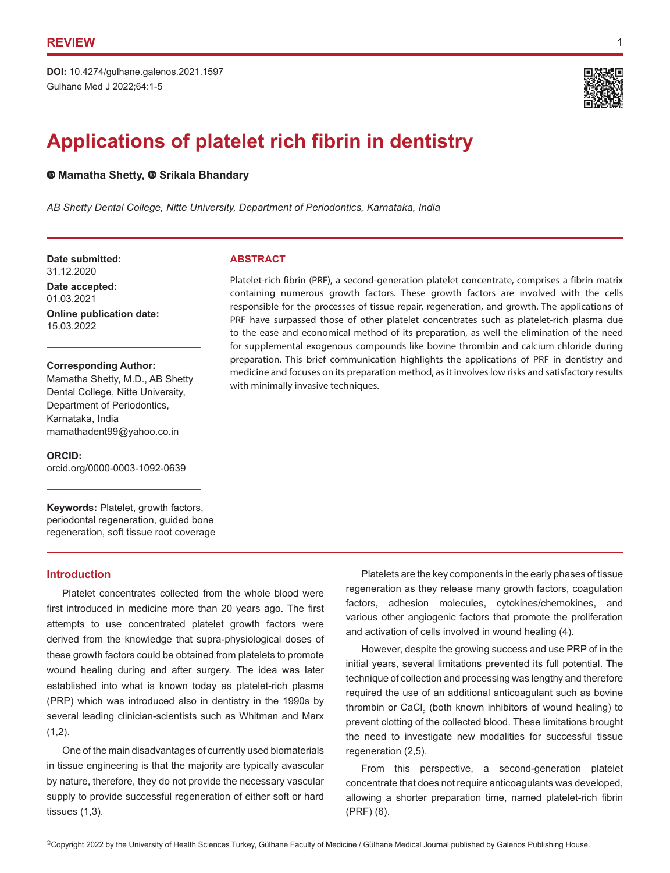Gulhane Med J 2022;64:1-5 **DOI:** 10.4274/gulhane.galenos.2021.1597



# **Applications of platelet rich fibrin in dentistry**

 $\bullet$ **Mamatha Shetty,**  $\bullet$  **Srikala Bhandary** 

*AB Shetty Dental College, Nitte University, Department of Periodontics, Karnataka, India*

**Date submitted: ABSTRACT** 31.12.2020

**Date accepted:** 01.03.2021

**Online publication date:** 15.03.2022

**Corresponding Author:**

Mamatha Shetty, M.D., AB Shetty Dental College, Nitte University, Department of Periodontics, Karnataka, India mamathadent99@yahoo.co.in

**ORCID:**  orcid.org/0000-0003-1092-0639

**Keywords:** Platelet, growth factors, periodontal regeneration, guided bone regeneration, soft tissue root coverage

# **Introduction**

Platelet concentrates collected from the whole blood were first introduced in medicine more than 20 years ago. The first attempts to use concentrated platelet growth factors were derived from the knowledge that supra-physiological doses of these growth factors could be obtained from platelets to promote wound healing during and after surgery. The idea was later established into what is known today as platelet-rich plasma (PRP) which was introduced also in dentistry in the 1990s by several leading clinician-scientists such as Whitman and Marx  $(1,2)$ .

One of the main disadvantages of currently used biomaterials in tissue engineering is that the majority are typically avascular by nature, therefore, they do not provide the necessary vascular supply to provide successful regeneration of either soft or hard tissues (1,3).

Platelet-rich fibrin (PRF), a second-generation platelet concentrate, comprises a fibrin matrix containing numerous growth factors. These growth factors are involved with the cells responsible for the processes of tissue repair, regeneration, and growth. The applications of PRF have surpassed those of other platelet concentrates such as platelet-rich plasma due to the ease and economical method of its preparation, as well the elimination of the need for supplemental exogenous compounds like bovine thrombin and calcium chloride during preparation. This brief communication highlights the applications of PRF in dentistry and medicine and focuses on its preparation method, as it involves low risks and satisfactory results with minimally invasive techniques.

> Platelets are the key components in the early phases of tissue regeneration as they release many growth factors, coagulation factors, adhesion molecules, cytokines/chemokines, and various other angiogenic factors that promote the proliferation and activation of cells involved in wound healing (4).

> However, despite the growing success and use PRP of in the initial years, several limitations prevented its full potential. The technique of collection and processing was lengthy and therefore required the use of an additional anticoagulant such as bovine thrombin or CaCl<sub>2</sub> (both known inhibitors of wound healing) to prevent clotting of the collected blood. These limitations brought the need to investigate new modalities for successful tissue regeneration (2,5).

> From this perspective, a second-generation platelet concentrate that does not require anticoagulants was developed, allowing a shorter preparation time, named platelet-rich fibrin (PRF) (6).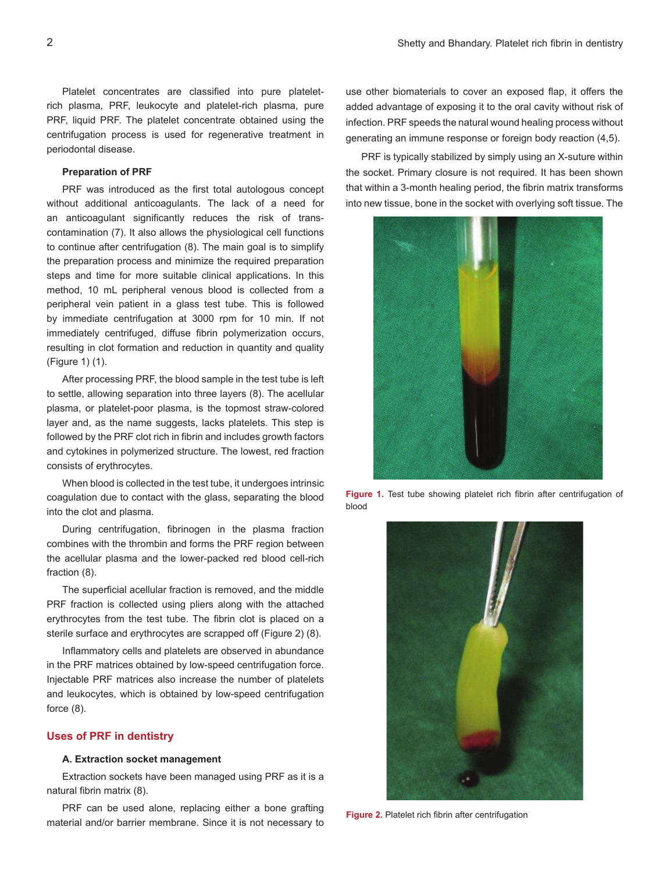Platelet concentrates are classified into pure plateletrich plasma, PRF, leukocyte and platelet-rich plasma, pure PRF, liquid PRF. The platelet concentrate obtained using the centrifugation process is used for regenerative treatment in periodontal disease.

# **Preparation of PRF**

PRF was introduced as the first total autologous concept without additional anticoagulants. The lack of a need for an anticoagulant significantly reduces the risk of transcontamination (7). It also allows the physiological cell functions to continue after centrifugation (8). The main goal is to simplify the preparation process and minimize the required preparation steps and time for more suitable clinical applications. In this method, 10 mL peripheral venous blood is collected from a peripheral vein patient in a glass test tube. This is followed by immediate centrifugation at 3000 rpm for 10 min. If not immediately centrifuged, diffuse fibrin polymerization occurs, resulting in clot formation and reduction in quantity and quality (Figure 1) (1).

After processing PRF, the blood sample in the test tube is left to settle, allowing separation into three layers (8). The acellular plasma, or platelet-poor plasma, is the topmost straw-colored layer and, as the name suggests, lacks platelets. This step is followed by the PRF clot rich in fibrin and includes growth factors and cytokines in polymerized structure. The lowest, red fraction consists of erythrocytes.

When blood is collected in the test tube, it undergoes intrinsic coagulation due to contact with the glass, separating the blood into the clot and plasma.

During centrifugation, fibrinogen in the plasma fraction combines with the thrombin and forms the PRF region between the acellular plasma and the lower-packed red blood cell-rich fraction (8).

The superficial acellular fraction is removed, and the middle PRF fraction is collected using pliers along with the attached erythrocytes from the test tube. The fibrin clot is placed on a sterile surface and erythrocytes are scrapped off (Figure 2) (8).

Inflammatory cells and platelets are observed in abundance in the PRF matrices obtained by low-speed centrifugation force. Injectable PRF matrices also increase the number of platelets and leukocytes, which is obtained by low-speed centrifugation force (8).

## **Uses of PRF in dentistry**

#### **A. Extraction socket management**

Extraction sockets have been managed using PRF as it is a natural fibrin matrix (8).

PRF can be used alone, replacing either a bone grafting material and/or barrier membrane. Since it is not necessary to use other biomaterials to cover an exposed flap, it offers the added advantage of exposing it to the oral cavity without risk of infection. PRF speeds the natural wound healing process without generating an immune response or foreign body reaction (4,5).

PRF is typically stabilized by simply using an X-suture within the socket. Primary closure is not required. It has been shown that within a 3-month healing period, the fibrin matrix transforms into new tissue, bone in the socket with overlying soft tissue. The



**Figure 1.** Test tube showing platelet rich fibrin after centrifugation of blood



**Figure 2.** Platelet rich fibrin after centrifugation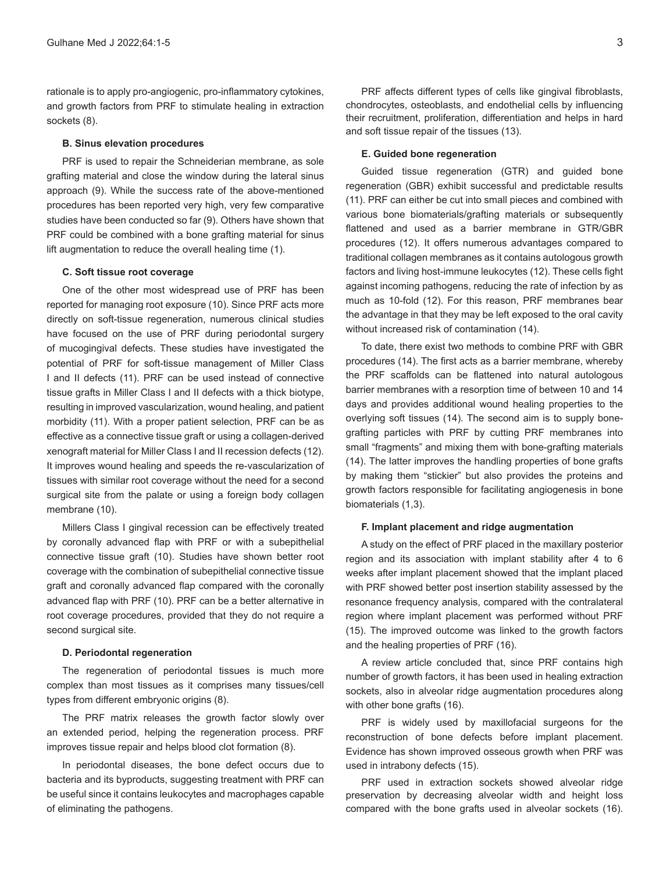rationale is to apply pro-angiogenic, pro-inflammatory cytokines, and growth factors from PRF to stimulate healing in extraction sockets (8).

#### **B. Sinus elevation procedures**

PRF is used to repair the Schneiderian membrane, as sole grafting material and close the window during the lateral sinus approach (9). While the success rate of the above-mentioned procedures has been reported very high, very few comparative studies have been conducted so far (9). Others have shown that PRF could be combined with a bone grafting material for sinus lift augmentation to reduce the overall healing time (1).

### **C. Soft tissue root coverage**

One of the other most widespread use of PRF has been reported for managing root exposure (10). Since PRF acts more directly on soft-tissue regeneration, numerous clinical studies have focused on the use of PRF during periodontal surgery of mucogingival defects. These studies have investigated the potential of PRF for soft-tissue management of Miller Class I and II defects (11). PRF can be used instead of connective tissue grafts in Miller Class I and II defects with a thick biotype, resulting in improved vascularization, wound healing, and patient morbidity (11). With a proper patient selection, PRF can be as effective as a connective tissue graft or using a collagen-derived xenograft material for Miller Class I and II recession defects (12). It improves wound healing and speeds the re-vascularization of tissues with similar root coverage without the need for a second surgical site from the palate or using a foreign body collagen membrane (10).

Millers Class I gingival recession can be effectively treated by coronally advanced flap with PRF or with a subepithelial connective tissue graft (10). Studies have shown better root coverage with the combination of subepithelial connective tissue graft and coronally advanced flap compared with the coronally advanced flap with PRF (10). PRF can be a better alternative in root coverage procedures, provided that they do not require a second surgical site.

#### **D. Periodontal regeneration**

The regeneration of periodontal tissues is much more complex than most tissues as it comprises many tissues/cell types from different embryonic origins (8).

The PRF matrix releases the growth factor slowly over an extended period, helping the regeneration process. PRF improves tissue repair and helps blood clot formation (8).

In periodontal diseases, the bone defect occurs due to bacteria and its byproducts, suggesting treatment with PRF can be useful since it contains leukocytes and macrophages capable of eliminating the pathogens.

PRF affects different types of cells like gingival fibroblasts, chondrocytes, osteoblasts, and endothelial cells by influencing their recruitment, proliferation, differentiation and helps in hard and soft tissue repair of the tissues (13).

#### **E. Guided bone regeneration**

Guided tissue regeneration (GTR) and guided bone regeneration (GBR) exhibit successful and predictable results (11). PRF can either be cut into small pieces and combined with various bone biomaterials/grafting materials or subsequently flattened and used as a barrier membrane in GTR/GBR procedures (12). It offers numerous advantages compared to traditional collagen membranes as it contains autologous growth factors and living host-immune leukocytes (12). These cells fight against incoming pathogens, reducing the rate of infection by as much as 10-fold (12). For this reason, PRF membranes bear the advantage in that they may be left exposed to the oral cavity without increased risk of contamination (14).

To date, there exist two methods to combine PRF with GBR procedures (14). The first acts as a barrier membrane, whereby the PRF scaffolds can be flattened into natural autologous barrier membranes with a resorption time of between 10 and 14 days and provides additional wound healing properties to the overlying soft tissues (14). The second aim is to supply bonegrafting particles with PRF by cutting PRF membranes into small "fragments" and mixing them with bone-grafting materials (14). The latter improves the handling properties of bone grafts by making them "stickier" but also provides the proteins and growth factors responsible for facilitating angiogenesis in bone biomaterials (1,3).

#### **F. Implant placement and ridge augmentation**

A study on the effect of PRF placed in the maxillary posterior region and its association with implant stability after 4 to 6 weeks after implant placement showed that the implant placed with PRF showed better post insertion stability assessed by the resonance frequency analysis, compared with the contralateral region where implant placement was performed without PRF (15). The improved outcome was linked to the growth factors and the healing properties of PRF (16).

A review article concluded that, since PRF contains high number of growth factors, it has been used in healing extraction sockets, also in alveolar ridge augmentation procedures along with other bone grafts (16).

PRF is widely used by maxillofacial surgeons for the reconstruction of bone defects before implant placement. Evidence has shown improved osseous growth when PRF was used in intrabony defects (15).

PRF used in extraction sockets showed alveolar ridge preservation by decreasing alveolar width and height loss compared with the bone grafts used in alveolar sockets (16).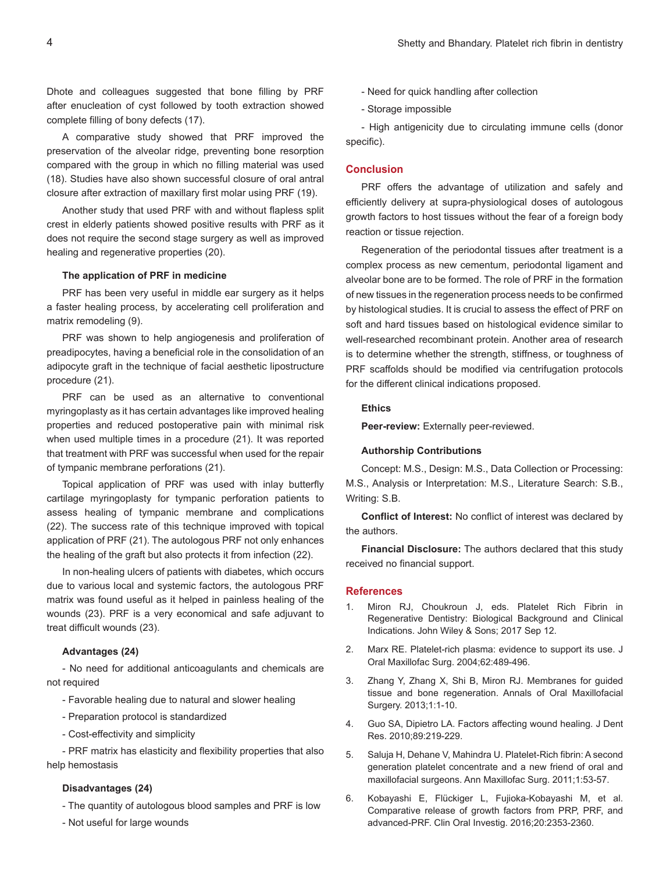Dhote and colleagues suggested that bone filling by PRF after enucleation of cyst followed by tooth extraction showed complete filling of bony defects (17).

A comparative study showed that PRF improved the preservation of the alveolar ridge, preventing bone resorption compared with the group in which no filling material was used (18). Studies have also shown successful closure of oral antral closure after extraction of maxillary first molar using PRF (19).

Another study that used PRF with and without flapless split crest in elderly patients showed positive results with PRF as it does not require the second stage surgery as well as improved healing and regenerative properties (20).

#### **The application of PRF in medicine**

PRF has been very useful in middle ear surgery as it helps a faster healing process, by accelerating cell proliferation and matrix remodeling (9).

PRF was shown to help angiogenesis and proliferation of preadipocytes, having a beneficial role in the consolidation of an adipocyte graft in the technique of facial aesthetic lipostructure procedure (21).

PRF can be used as an alternative to conventional myringoplasty as it has certain advantages like improved healing properties and reduced postoperative pain with minimal risk when used multiple times in a procedure (21). It was reported that treatment with PRF was successful when used for the repair of tympanic membrane perforations (21).

Topical application of PRF was used with inlay butterfly cartilage myringoplasty for tympanic perforation patients to assess healing of tympanic membrane and complications (22). The success rate of this technique improved with topical application of PRF (21). The autologous PRF not only enhances the healing of the graft but also protects it from infection (22).

In non-healing ulcers of patients with diabetes, which occurs due to various local and systemic factors, the autologous PRF matrix was found useful as it helped in painless healing of the wounds (23). PRF is a very economical and safe adjuvant to treat difficult wounds (23).

### **Advantages (24)**

- No need for additional anticoagulants and chemicals are not required

- Favorable healing due to natural and slower healing
- Preparation protocol is standardized
- Cost-effectivity and simplicity

- PRF matrix has elasticity and flexibility properties that also help hemostasis

#### **Disadvantages (24)**

- The quantity of autologous blood samples and PRF is low
- Not useful for large wounds
- Need for quick handling after collection
- Storage impossible

- High antigenicity due to circulating immune cells (donor specific).

# **Conclusion**

PRF offers the advantage of utilization and safely and efficiently delivery at supra-physiological doses of autologous growth factors to host tissues without the fear of a foreign body reaction or tissue rejection.

Regeneration of the periodontal tissues after treatment is a complex process as new cementum, periodontal ligament and alveolar bone are to be formed. The role of PRF in the formation of new tissues in the regeneration process needs to be confirmed by histological studies. It is crucial to assess the effect of PRF on soft and hard tissues based on histological evidence similar to well-researched recombinant protein. Another area of research is to determine whether the strength, stiffness, or toughness of PRF scaffolds should be modified via centrifugation protocols for the different clinical indications proposed.

# **Ethics**

**Peer-review:** Externally peer-reviewed.

#### **Authorship Contributions**

Concept: M.S., Design: M.S., Data Collection or Processing: M.S., Analysis or Interpretation: M.S., Literature Search: S.B., Writing: S.B.

**Conflict of Interest:** No conflict of interest was declared by the authors.

**Financial Disclosure:** The authors declared that this study received no financial support.

#### **References**

- 1. Miron RJ, Choukroun J, eds. Platelet Rich Fibrin in Regenerative Dentistry: Biological Background and Clinical Indications. John Wiley & Sons; 2017 Sep 12.
- 2. Marx RE. Platelet-rich plasma: evidence to support its use. J Oral Maxillofac Surg. 2004;62:489-496.
- 3. Zhang Y, Zhang X, Shi B, Miron RJ. Membranes for guided tissue and bone regeneration. Annals of Oral Maxillofacial Surgery. 2013;1:1-10.
- 4. Guo SA, Dipietro LA. Factors affecting wound healing. J Dent Res. 2010;89:219-229.
- 5. Saluja H, Dehane V, Mahindra U. Platelet-Rich fibrin: A second generation platelet concentrate and a new friend of oral and maxillofacial surgeons. Ann Maxillofac Surg. 2011;1:53-57.
- 6. Kobayashi E, Flückiger L, Fujioka-Kobayashi M, et al. Comparative release of growth factors from PRP, PRF, and advanced-PRF. Clin Oral Investig. 2016;20:2353-2360.